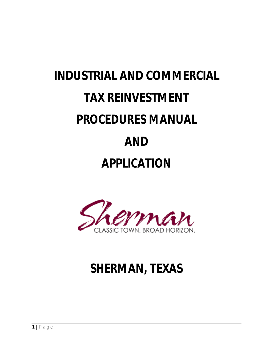# **INDUSTRIAL AND COMMERCIAL TAX REINVESTMENT PROCEDURES MANUAL AND APPLICATION**



# **SHERMAN, TEXAS**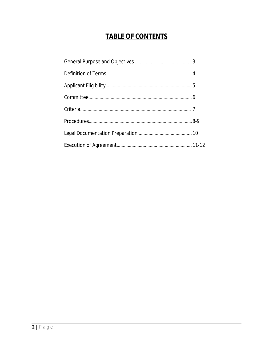# **TABLE OF CONTENTS**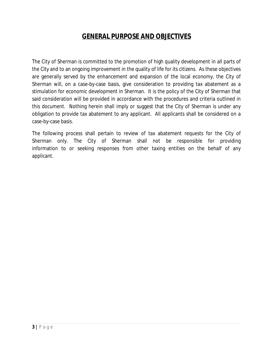# **GENERAL PURPOSE AND OBJECTIVES**

The City of Sherman is committed to the promotion of high quality development in all parts of the City and to an ongoing improvement in the quality of life for its citizens. As these objectives are generally served by the enhancement and expansion of the local economy, the City of Sherman will, on a case-by-case basis, give consideration to providing tax abatement as a stimulation for economic development in Sherman. It is the policy of the City of Sherman that said consideration will be provided in accordance with the procedures and criteria outlined in this document. Nothing herein shall imply or suggest that the City of Sherman is under any obligation to provide tax abatement to any applicant. All applicants shall be considered on a case-by-case basis.

The following process shall pertain to review of tax abatement requests for the City of Sherman only. The City of Sherman shall not be responsible for providing information to or seeking responses from other taxing entities on the behalf of any applicant.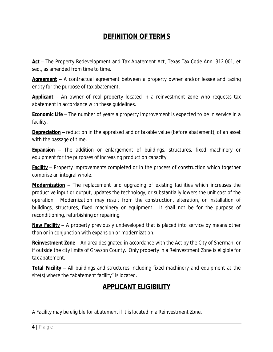# **DEFINITION OF TERMS**

Act – The Property Redevelopment and Tax Abatement Act, Texas Tax Code Ann. 312.001, et seq., as amended from time to time.

**Agreement** – A contractual agreement between a property owner and/or lessee and taxing entity for the purpose of tax abatement.

**Applicant** – An owner of real property located in a reinvestment zone who requests tax abatement in accordance with these guidelines.

**Economic Life** – The number of years a property improvement is expected to be in service in a facility.

**Depreciation** – reduction in the appraised and or taxable value (before abatement), of an asset with the passage of time.

**Expansion** – The addition or enlargement of buildings, structures, fixed machinery or equipment for the purposes of increasing production capacity.

**Facility** – Property improvements completed or in the process of construction which together comprise an integral whole.

**Modernization** – The replacement and upgrading of existing facilities which increases the productive input or output, updates the technology, or substantially lowers the unit cost of the operation. Modernization may result from the construction, alteration, or installation of buildings, structures, fixed machinery or equipment. It shall not be for the purpose of reconditioning, refurbishing or repairing.

**New Facility** – A property previously undeveloped that is placed into service by means other than or in conjunction with expansion or modernization.

**Reinvestment Zone** – An area designated in accordance with the Act by the City of Sherman, or if outside the city limits of Grayson County. Only property in a Reinvestment Zone is eligible for tax abatement.

**Total Facility** – All buildings and structures including fixed machinery and equipment at the site(s) where the "abatement facility" is located.

# **APPLICANT ELIGIBILITY**

A Facility may be eligible for abatement if it is located in a Reinvestment Zone.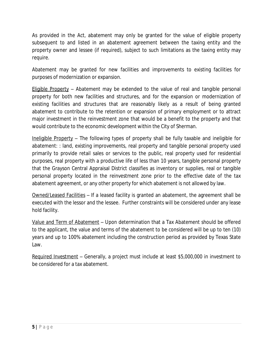As provided in the Act, abatement may only be granted for the value of eligible property subsequent to and listed in an abatement agreement between the taxing entity and the property owner and lessee (if required), subject to such limitations as the taxing entity may require.

Abatement may be granted for new facilities and improvements to existing facilities for purposes of modernization or expansion.

Eligible Property – Abatement may be extended to the value of real and tangible personal property for both new facilities and structures, and for the expansion or modernization of existing facilities and structures that are reasonably likely as a result of being granted abatement to contribute to the retention or expansion of primary employment or to attract major investment in the reinvestment zone that would be a benefit to the property and that would contribute to the economic development within the City of Sherman.

Ineligible Property – The following types of property shall be fully taxable and ineligible for abatement: : land, existing improvements, real property and tangible personal property used primarily to provide retail sales or services to the public, real property used for residential purposes, real property with a productive life of less than 10 years, tangible personal property that the Grayson Central Appraisal District classifies as inventory or supplies, real or tangible personal property located in the reinvestment zone prior to the effective date of the tax abatement agreement, or any other property for which abatement is not allowed by law.

Owned/Leased Facilities – If a leased facility is granted an abatement, the agreement shall be executed with the lessor and the lessee. Further constraints will be considered under any lease hold facility.

Value and Term of Abatement – Upon determination that a Tax Abatement should be offered to the applicant, the value and terms of the abatement to be considered will be up to ten (10) years and up to 100% abatement including the construction period as provided by Texas State Law.

Required Investment – Generally, a project must include at least \$5,000,000 in investment to be considered for a tax abatement.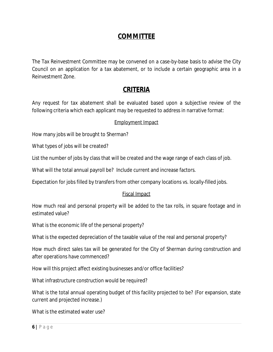### **COMMITTEE**

The Tax Reinvestment Committee may be convened on a case-by-base basis to advise the City Council on an application for a tax abatement, or to include a certain geographic area in a Reinvestment Zone.

# **CRITERIA**

Any request for tax abatement shall be evaluated based upon a subjective review of the following criteria which each applicant may be requested to address in narrative format:

#### Employment Impact

How many jobs will be brought to Sherman?

What types of jobs will be created?

List the number of jobs by class that will be created and the wage range of each class of job.

What will the total annual payroll be? Include current and increase factors.

Expectation for jobs filled by transfers from other company locations vs. locally-filled jobs.

#### Fiscal Impact

How much real and personal property will be added to the tax rolls, in square footage and in estimated value?

What is the economic life of the personal property?

What is the expected depreciation of the taxable value of the real and personal property?

How much direct sales tax will be generated for the City of Sherman during construction and after operations have commenced?

How will this project affect existing businesses and/or office facilities?

What infrastructure construction would be required?

What is the total annual operating budget of this facility projected to be? (For expansion, state current and projected increase.)

What is the estimated water use?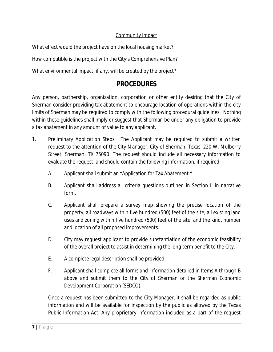#### Community Impact

What effect would the project have on the local housing market?

How compatible is the project with the City's Comprehensive Plan?

What environmental impact, if any, will be created by the project?

# **PROCEDURES**

Any person, partnership, organization, corporation or other entity desiring that the City of Sherman consider providing tax abatement to encourage location of operations within the city limits of Sherman may be required to comply with the following procedural guidelines. Nothing within these guidelines shall imply or suggest that Sherman be under any obligation to provide a tax abatement in any amount of value to any applicant.

- 1. Preliminary Application Steps. The Applicant may be required to submit a written request to the attention of the City Manager, City of Sherman, Texas, 220 W. Mulberry Street, Sherman, TX 75090. The request should include all necessary information to evaluate the request, and should contain the following information, if required:
	- A. Applicant shall submit an "Application for Tax Abatement."
	- B. Applicant shall address all criteria questions outlined in Section II in narrative form.
	- C. Applicant shall prepare a survey map showing the precise location of the property, all roadways within five hundred (500) feet of the site, all existing land uses and zoning within five hundred (500) feet of the site, and the kind, number and location of all proposed improvements.
	- D. City may request applicant to provide substantiation of the economic feasibility of the overall project to assist in determining the long-term benefit to the City.
	- E. A complete legal description shall be provided.
	- F. Applicant shall complete all forms and information detailed in Items A through B above and submit them to the City of Sherman or the Sherman Economic Development Corporation (SEDCO).

Once a request has been submitted to the City Manager, it shall be regarded as public information and will be available for inspection by the public as allowed by the Texas Public Information Act. Any proprietary information included as a part of the request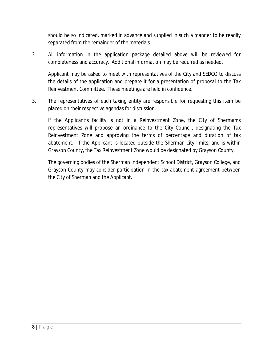should be so indicated, marked in advance and supplied in such a manner to be readily separated from the remainder of the materials.

2. All information in the application package detailed above will be reviewed for completeness and accuracy. Additional information may be required as needed.

Applicant may be asked to meet with representatives of the City and SEDCO to discuss the details of the application and prepare it for a presentation of proposal to the Tax Reinvestment Committee. These meetings are held in confidence.

3. The representatives of each taxing entity are responsible for requesting this item be placed on their respective agendas for discussion.

If the Applicant's facility is not in a Reinvestment Zone, the City of Sherman's representatives will propose an ordinance to the City Council, designating the Tax Reinvestment Zone and approving the terms of percentage and duration of tax abatement. If the Applicant is located outside the Sherman city limits, and is within Grayson County, the Tax Reinvestment Zone would be designated by Grayson County.

The governing bodies of the Sherman Independent School District, Grayson College, and Grayson County may consider participation in the tax abatement agreement between the City of Sherman and the Applicant.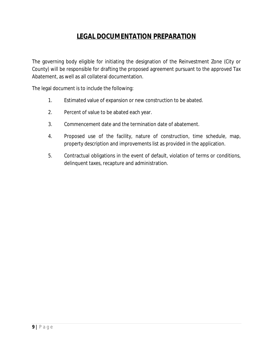# **LEGAL DOCUMENTATION PREPARATION**

The governing body eligible for initiating the designation of the Reinvestment Zone (City or County) will be responsible for drafting the proposed agreement pursuant to the approved Tax Abatement, as well as all collateral documentation.

The legal document is to include the following:

- 1. Estimated value of expansion or new construction to be abated.
- 2. Percent of value to be abated each year.
- 3. Commencement date and the termination date of abatement.
- 4. Proposed use of the facility, nature of construction, time schedule, map, property description and improvements list as provided in the application.
- 5. Contractual obligations in the event of default, violation of terms or conditions, delinquent taxes, recapture and administration.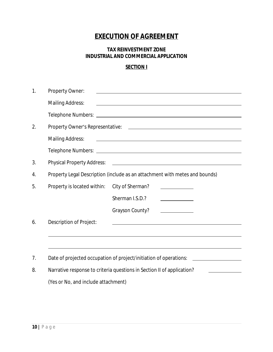# **EXECUTION OF AGREEMENT**

#### **TAX REINVESTMENT ZONE INDUSTRIAL AND COMMERCIAL APPLICATION**

#### **SECTION I**

| 1. | Property Owner:                                                                     |                  |                                                                                                                      |  |  |  |
|----|-------------------------------------------------------------------------------------|------------------|----------------------------------------------------------------------------------------------------------------------|--|--|--|
|    | <b>Mailing Address:</b>                                                             |                  | <u> 1989 - Johann Stoff, amerikansk politiker (d. 1989)</u>                                                          |  |  |  |
|    |                                                                                     |                  |                                                                                                                      |  |  |  |
| 2. |                                                                                     |                  |                                                                                                                      |  |  |  |
|    | <u> 2008 - Jan Barnett, amerikansk politik (d. 1888)</u><br><b>Mailing Address:</b> |                  |                                                                                                                      |  |  |  |
|    |                                                                                     |                  |                                                                                                                      |  |  |  |
| 3. | Physical Property Address: 2008. 2009. [2010] Physical Property Address:            |                  |                                                                                                                      |  |  |  |
| 4. | Property Legal Description (include as an attachment with metes and bounds)         |                  |                                                                                                                      |  |  |  |
| 5. | Property is located within:                                                         | City of Sherman? |                                                                                                                      |  |  |  |
|    |                                                                                     | Sherman I.S.D.?  |                                                                                                                      |  |  |  |
|    |                                                                                     | Grayson County?  |                                                                                                                      |  |  |  |
| 6. | Description of Project:                                                             |                  | <u> 1989 - Johann John Stone, markin film yn y sefydlu y brenin y mae y ddysgwyr y gynnwys y gynnwys y gynnwys y</u> |  |  |  |
|    |                                                                                     |                  |                                                                                                                      |  |  |  |
|    |                                                                                     |                  |                                                                                                                      |  |  |  |
| 7. | Date of projected occupation of project/initiation of operations:                   |                  |                                                                                                                      |  |  |  |
| 8. | Narrative response to criteria questions in Section II of application?              |                  |                                                                                                                      |  |  |  |
|    | (Yes or No, and include attachment)                                                 |                  |                                                                                                                      |  |  |  |